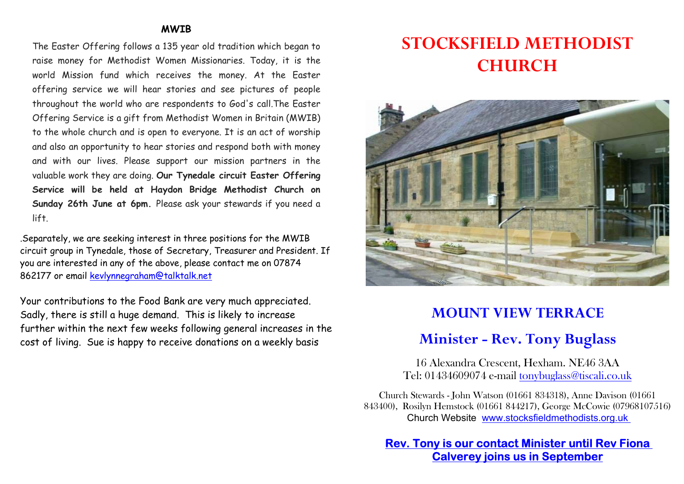#### MWIB

The Easter Offering follows a 135 year old tradition which began to raise money for Methodist Women Missionaries. Today, it is the world Mission fund which receives the money. At the Easter offering service we will hear stories and see pictures of people throughout the world who are respondents to God's call.The Easter Offering Service is a gift from Methodist Women in Britain (MWIB) to the whole church and is open to everyone. It is an act of worship and also an opportunity to hear stories and respond both with money and with our lives. Please support our mission partners in the valuable work they are doing. Our Tynedale circuit Easter Offering Service will be held at Haydon Bridge Methodist Church on Sunday 26th June at 6pm. Please ask your stewards if you need a lift.

.Separately, we are seeking interest in three positions for the MWIB circuit group in Tynedale, those of Secretary, Treasurer and President. If you are interested in any of the above, please contact me on 07874 862177 or email kevlynnegraham@talktalk.net

Your contributions to the Food Bank are very much appreciated. Sadly, there is still a huge demand. This is likely to increase further within the next few weeks following general increases in the cost of living. Sue is happy to receive donations on a weekly basis

# STOCKSFIELD METHODIST **CHURCH**



# MOUNT VIEW TERRACE

# Minister - Rev. Tony Buglass

16 Alexandra Crescent, Hexham. NE46 3AA Tel: 01434609074 e-mail tonybuglass@tiscali.co.uk

Church Stewards - John Watson (01661 834318), Anne Davison (01661 843400), Rosilyn Hemstock (01661 844217), George McCowie (07968107516) Church Website www.stocksfieldmethodists.org.uk

Rev. Tony is our contact Minister until Rev Fiona Calverey joins us in September